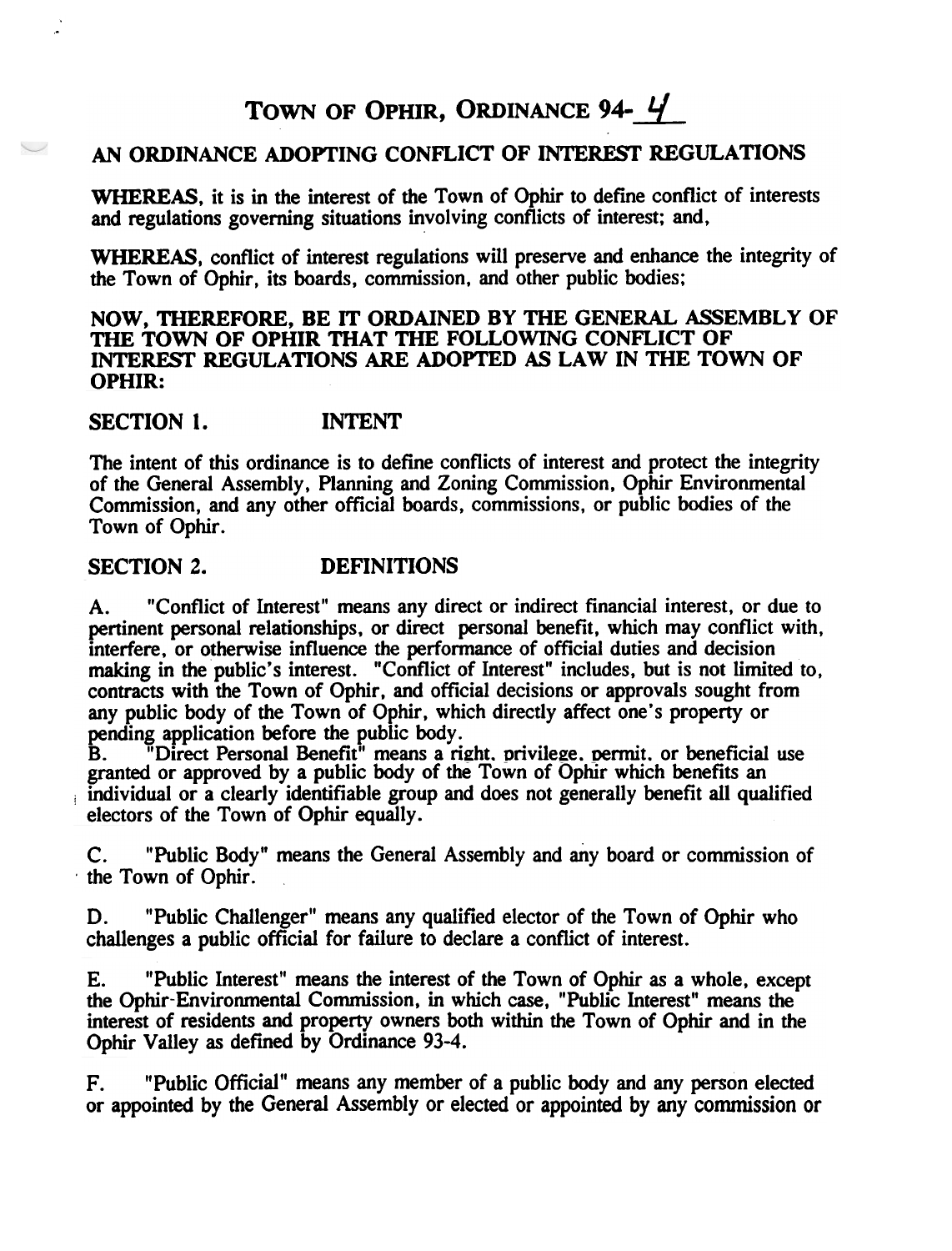# TOWN OF OPHIR, ORDINANCE 94-  $4/$

### AN ORDINANCE ADOPTING CONFLICT OF INTEREST REGULATIONS

WHEREAS, it is in the interest of the Town of Ophir to define conflict of interests and regulations governing situations involving conflicts of interest; and,

WHEREAS, conflict of interest regulations will preserve and enhance the integrity of the Town of Ophir, its boards, commission, and other public bodies;

#### NOW, THEREFORE, BE IT ORDAINED BY THE GENERAL ASSEMBLY OF THE TOWN OF OPHIR THAT THE FOLLOWING CONFLICT OF INTEREST REGULATIONS ARE ADOPTED AS LAW IN THE TOWN OF OPHIR:

#### SECTION 1. INTENT

... .

 $\sqrt{}$ 

The intent of this ordinance is to define conflicts of interest and protect the integrity of the General Assembly. Planning and Zoning Commission. Ophir Environmental Commission. and any other official boards. commissions. or public bodies of the Town of Ophir.

### SECTION 2. DEFINITIONS

A. "Conflict of Interest" means any direct or indirect financial interest. or due to pertinent personal relationships. or direct personal benefit. which may conflict with, interfere. or otherwise influence the performance of official duties and decision making in the public's interest. "Conflict of Interest" includes, but is not limited to, contracts with the Town of Ophir, and official decisions or approvals sought from any public body of the Town of Ophir, which directly affect one's property or pending application before the public body.

B. "Direct Personal Benefit" means a right, privilege, permit, or beneficial use granted or approved by a public body of the Town of Ophir which benefits an individual or a clearly identifiable group and does not generally benefit all qualified electors of the Town of Ophir equally.

c. 'tPublic Body" means the General Assembly and any board or commission of . the Town of Ophir.

D. "Public Challenger" means any qualified elector of the Town of Ophir who challenges a public official for failure to declare a conflict of interest.

E. "Public Interest" means the interest of the Town of Ophir as a whole, except the Ophir-Environmental Commission, in which case, "Public Interest" means the interest of residents and property owners both within the Town of Ophir and in the Ophir Valley as defined by Ordinance 93-4.

F. "Public Official" means any member of a public body and any person elected or appointed by the General Assembly or elected or appointed by any commission or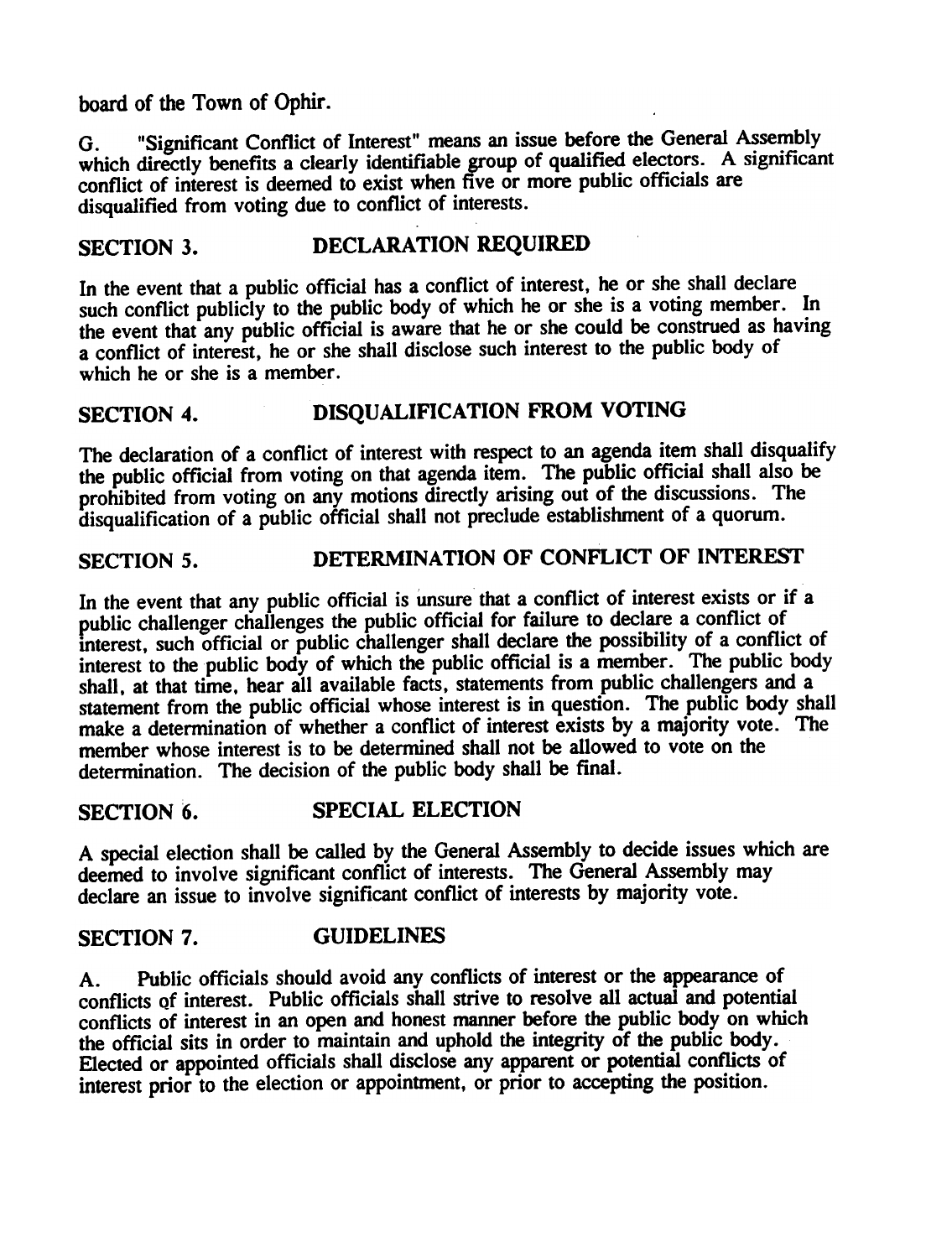board of the Town of Ophir.

G. "Significant Conflict of Interest" means an issue before the General Assembly which directly benefits a clearly identifiable group of qualified electors. A significant conflict of interest is deemed to exist when five or more public officials are disqualified from voting due to conflict of interests.

## SECTION 3. DECLARATION REQUIRED

In the event that a public official has a conflict of interest. he or she shall declare such conflict publicly to the public body of which he or she is a voting member. In the event that any public official is aware that he or she could be construed as having a conflict of interest. he or she shall disclose such interest to the public body of which he or she is a member.

# SECTION 4. DISQUALIFICATION FROM VOTING

The declaration of a conflict of interest with respect to an agenda item shall disqualify the public official from voting on that agenda item. The public official shall also be prohibited from voting on any motions directly arising out of the discussions. The disqualification of a public official shall not preclude establishment of a quorum.

## SECTION 5. DETERMINATION OF CONFLICT OF INTEREST

In the event that any public official is unsure that a conflict of interest exists or if a public challenger challenges the public official for failure to declare a conflict of interest. such official or public challenger shall declare the possibility of a conflict of interest to the public body of which the public official is a member. The public body shall. at that time. hear all available facts. statements from public challengers and a statement from the public official whose interest is in question. The public body shall make a determination of whether a conflict of interest exists by a majority vote. The member whose interest is to be determined shall not be allowed to vote on the determination. The decision of the public body shall be final.

### SECTION 6. SPECIAL ELECTION

A special election shall be called by the General Assembly to decide issues which are deemed to involve significant conflict of interests. The General Assembly may declare an issue to involve significant conflict of interests by majority vote.

### SECTION 7. GUIDELINES

A. Public officials should avoid any conflicts of interest or the appearance of conflicts of interest. Public officials shall strive to resolve all actual and potential conflicts of interest in an open and honest manner before the public body on which the official sits in order to maintain and uphold the integrity of the public body. Elected or appointed officials shall disclose any apparent or potential conflicts of interest prior to the election or appointment, or prior to accepting the position.